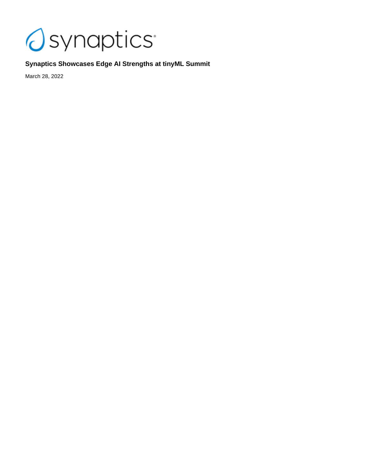

# **Synaptics Showcases Edge AI Strengths at tinyML Summit**

March 28, 2022